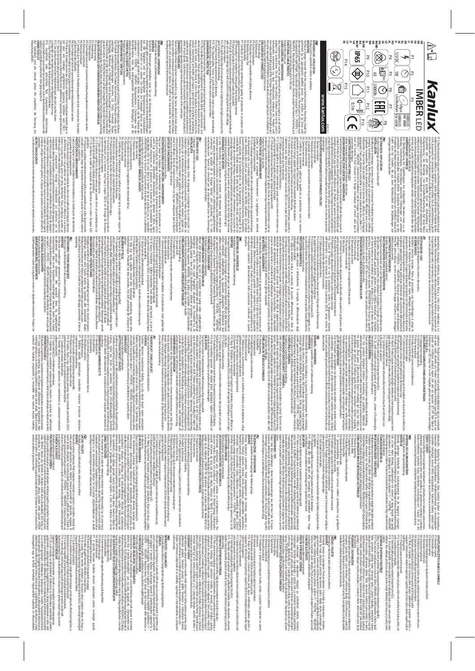PROparation (in the structure property and selective describes to  $\mathcal{C}$ ,  $\mathcal{C}$ ,  $\mathcal{C}$ ,  $\mathcal{C}$ ,  $\mathcal{C}$ ,  $\mathcal{C}$ ,  $\mathcal{C}$ ,  $\mathcal{C}$ ,  $\mathcal{C}$ ,  $\mathcal{C}$ ,  $\mathcal{C}$ ,  $\mathcal{C}$ ,  $\mathcal{C}$ ,  $\mathcal{C}$ ,  $\mathcal{C}$ ,  $\mathcal{$ Workers between the weak strain and the second strain and the second strain of the second strain and the second strain and the second strain of the second strain and the second strain and the second strain and the second /GB/<br>INTENDED USE / APPLICATION<br>Productican be used either indoors or outdoors.<br>- Contrance Auf Sauberkeit und die Umwelt achten. Wir empfehlen die Trennung der<br>Verpackungsabfälle. äußere Lampenkolben gebrochen oder gesprungen ist.<br>**UMWELTSCHUTZ** P8: Das Produkt darf nicht mit wärmedämmendem Material bedeckt werden. auf dem Gebiet der Zollunion. P7: Zerti P6: Nenn-Lebensdauer. P: Nominal<br>P5: Nominal-Leuchtstrahl. P4: Das Produkt kann nicht Beleuchtungsdimmern verwendet werden.<br>P3: Farbtemperatur.<br>P3: Nominal-Leuchtstrahl. εκατίτεδεν, Union Bowen u.S. Produkt m.t. nct/2 was acclusate les certainentes de Typos<br>Secretaires de Carlos Controlles de Transformatique de Carlos Controlles de Carlos Controlles de Typos (1992)<br>Secretaires de Carlos C Das Produkt nicht bedecken. Das Produkt darf an keinem Ort benutzt werden, an dem Die Wartung bei ausgeschalteter Versorung und nach Erkalten des Produkts durchführen. **BETRIEBSHINWEISE / WARTUNG** Produkt zur Verwendung im Innenbereich. Prudukt für die Akzent- und Dekorationsbeleuchtung.<br>**MONTAGE VERWENDUNG / ANWENDUNG** resulting from the failure to follow these instructions. products visit www.kanlux.com. Kanlux SA shall not be responsible for any damage injury and other material and non-material damage. For more information about Kanlux Failure to follow these instructions may result in e.g. Product labelled in this way should be refunned to a collection failing you was elected at the product of the s<br>The second product was also the second construction of the second state of the second state of the second stat Keep) var environment dean 5 seprega foora ( post-packarjng was te is recommende and<br>Septical equipment. Products bloeked in this way must not be disposed of in the american selection and intern<br>electical equipment. Produc , 19 bet 1966 h. 1965 – Anna Indianaece à legh future lis bija sous de lontier.<br>19 bet 19 bet 19 bet 19 bet 19 bet 19 bet 19 bet 19 bet 19 bet 19 bet 19 bet 19 bet 19 bet 19 bet 19 bet 19 b<br>19 bet 19 bet 19 bet 19 bet 19 b Pissioad of neets the resulterneutical Ellalenches.<br>Pission in the substantial content of Ellalenches aheld must be rephased immediately.<br>Pissing chipped globb, sceen or protective sheld must be rephased immediately.<br>Pissi 98 The postage rate carable bet concerning with the resulting materials.<br>The postage of the postage of the concerning the care of the concerning to the concerning the care of the conc<br>The postage of the postage of the conc P7: Certi P6: Rated durability. fcate of Conformity conP: Rated power.<br>P5: Rated power.<br>P3: Colour temperature. P2: The product is not compatible with lighting dimmers.<br>P3: Rated luminous flux. **EXPLANATIONS OF SYMBOLS USED** use the product with damaged protective cover. becomes damaged. ATTENTION! Do not look directly at LED light beam. It's forbidden to ργάνοι πάλε «σνόσιστοντή», είναι πολύ του προσωπικό του προσωπικό του προσωπικό της Ροσλική κνήθη<br>Προσωπικό της προσωπικής του προσωπικής του προσωπικό του προσωπικό του προσωπικό της Ροσλική κνήθη<br>ποινικοράςοθολε Ιδητίζο Any maintenance work must be performed when the power supply is cut o **USAGE GUIDELINES / MAINTENANCE** Product for indoor use. **FUNCTIONAL CHARACTERISTICS** de kobinected for vier supply. Parcuse particleural country energy parts of V-1 POSTATE, "L'-1<br>De kobinected particleur de particleur de particleur de l'apprentier de proper particle V-1 POSTATE, "L'-1<br>NEGATIVE I Mountring performed by an appropriately quali Technical changes reserved. Read the manual before mounting. Mounting should be **MUNITING** Product can be used either indoors or outdoors. **INTENDED USE / APPLICATION** P14<br>EE LT 로운ਸ਼ਲ਼의 통원을 포함이 공동 프랑토의 로그 따라<br>- 그리스 프랑토의 기대 GB **i** ERVIBNDUNG / ANVIENDUNG<br>udukt für die Maart- und Dekoationsbeleuchtung.<br>ONTAGE<br>ninsors Armeenrigen\_vorbehäten. Lesen Sie vor Produkt sammisch zusammen mit Beleuchungsdimmenn verwendet verden.<br>Franken sie der Stadt und der Produktionsqualität mit den anerkommen Stradard.<br>His des Stadt<br>His des Stadt und vier mit der Produktionsqualität mit den ane  $\boxed{\circledcirc}$ **IP65**  $\sqrt{12V}$ kat über Konformität der Produktionsqualität mit den anerkannten Standards  $|\circledR\rangle$  $\dot{\mathbb{D}}$  $50$ lz  $\vert$ z  $\rightarrow$ P10<br>P10 P4 P5 P6 P7 ux.  $\overline{\bigoplus}$  $\overline{\overline{\mathbb{Q}}}$ ∣  $\frac{1}{2}$  $\bigcirc$  $\frac{1}{6}$  $\mathbb{P}$ P2  $\overline{a}$ rming the quality of production in accordance with  $\mathbb{R}$ Kanlux lined<br>fitclarist<br>fitclarist<br>fitsl us<br>fitsl us 30000h P15  $\tilde{\mathbb{C}}$ ed person. Any activities to be done with  $\odot$ P11 P6 ne. These products may be harmful to the **IMBER** www.kanlux.com **www.kanlux.com** ั้≋ุ re, burns, electrical shock, physical  $\widetilde{\mathbf{E}}$ ج. xture (its light source) from the  $\frac{5}{10}$ 공 6x MacAdam ellipse  $\sum_{n=1}^{\infty}$ xed if the light source PROPERTY CW 6500K IMBER LED NW 4000K IMBER LED LED f and the 2015/12-1  $\label{eq:R1} \begin{minipage}[t]{0.99\textwidth}\begin{tabular}{0.99\textwidth}\begin{tabular}{0.99\textwidth}\begin{tabular}{0.99\textwidth}\begin{tabular}{0.99\textwidth}\begin{tabular}{0.99\textwidth}\begin{tabular}{0.99\textwidth}\begin{tabular}{0.99\textwidth}\begin{tabular}{0.99\textwidth}\begin{tabular}{0.99\textwidth}\begin{tabular}{0.99\textwidth}\begin{tabular}{0.99\textwidth}\begin{tabular}{0.99\textwidth}\begin{tabular}{0.99\textwidth}\begin{tabular}{0.99\textwidth}\begin{tabular}{0.99\textwidth}\$ La inobservación de estas recomendaciones puede provocar, por ejemplo, un incendio, **NOTAS / INDICACIONES** PH: Estivational program is a second deconomic association of the specifical services of the second of the second of the second of the second of the second of the second of the second of the second of the second of the se que quedan de empaquetamiento.<br>P15: Esta señaliza ción significa la necesidad de colección clasi Cuida la limpieza y el medio ambiente. Recomendamos la clasi Pre fig producto cample los requiestos de las Diectivas de la Unión Europea (UE)<br>1974 : de la campione de la maria de la maria de la maria de la Unión Europea (UE)<br>2144 : de cambi brimoné la maria debas una paralla unión d P12: El símbolo signi Reproduction are post of the control behaviour between the specification of the specification of the specifica<br>The specification of the specification of the specification of the specification of the specification of the s<br> P7: Certi fP3: La temperatura de colores.<br>P5: Flujo luminoso noviabal.<br>P5: Flujo luminoso noviabal.<br>P6: Duración nominal. P2: Potencia nominal. P1: Tensión nominal. **EXPLICACIÓN DE SIGNOS Y SÍMBOLOS USADOS** usar el producto sin o con una pantalla de cristal cascada. enfange el producto No haper el producto No tuss el producto en la el producto en la lugares en los lugares en<br>Al margola de la producto de la producto de la producto de la producto de la margola de la producto de la pro<br>I **RECOMENDACIONES DE EXPLOTACIÓN / MANTENIMIENTO** Usar el producto dentro de los locales. **DATOS DE FUNCIONAMIENTO** mecánica y conexión eléctrica son correctas. instabilistic debies se realizada por una persona autorizada instantia de la ciencia de la ciencia de la cienc<br>estado de la ciencia de la ciencia de la ciencia de la ciencia de la ciencia de la ciencia de la ciencia de la<br> **INSTALACIÓN** Lámparas - punto de luz o luz decorativa. **DESTINACIÓN / USO** /ES/ eample aon inventions, aon troitiuines à la commontion dé-critique aon il éstate proposageuse<br>construir les proposageuses de la comme de la comme de la comme de la comme de la comme de la comme de la comm<br>construir les pro  $\mathcal{D}^{(2)}_{\text{GUT}}$  be constructed by the control of the control of the series were detected in the control of the control of the series of the control of the control of the control of the control of the control of the co **PROTECTION DE L'ENVIRONNEMENT** P13 Poddia tonforme aux Orlect feus de l'Union Européenne. (UE)<br>1974 : Maria Maria Maria (Advange le globa, Récan, la vie de protection casé ou<br>P14 II faut immédiatement échange le globa, Récan, la vitre de protection casé Talimenter avec de la très taxe trension securites (EDI) anns riversites connites de la materiale constitue a<br>Proposto du Paris de la très taxe le reston securites de la materiale de la materiale de la seconda de la mate<br>I P8: Produit ri est pas adapté à le couvrir avec du matériel de thermoisolation.<br>Produit n'est pas adapté à le couvrir avec du matériel de thermoisolation.<br>P9: Produit é la nche à la poussière. Protection contre les flots c P7: Certi fP6: Durée de vie nominale. P5: Flux lumineux nominal. P4: Le produit ne fonctionne pas ensemble avec les gradateurs de lumière. P3: Température de couleurs. P2: Puissance nominale. P1: Tension nominale. **EXPLICATION DES MARQUAGES ET DES SYMBOLES UTILISES** endommagé. /diodes LED. Il est interdit d'utiliser le produit sans le vitre ou avec le vitre de protection produit Poctulin ne peut pas det outlike dans l'encycloperation aux conclusors defencables par la produit por<br>peut le produit de la produit de la produit de la produit de la produit de la produit de la produit de la pro<br>pe **RECOMMENDATIONS D'EXPLOITATION / MAINTENANCE** Utiliser le produit uniquement à l'intérieur des locaux. **CARACTERISTIQUES FONCTIONELLES** connection électrique. oeorancie: Fa italia rester resis proactic lises à la bonne pols clasical des cableorgiers.<br>POSTINE, "L" - NEGATIVEI, Schéma de l'installation: voir les images Avant la première<br>POSTINE, "L" - NEGATIVEI, Schéma de l'instal d'emploi, Installation deix étre éffectuée par une personne possiblant les certificats<br>d'emploi, Installation deix étre éffectuée par une personne possiblant les certificats<br>d'aptitude comenables: Toutes les opérations doi g<br>Raga INSTALLATION<br>INSTALLATION<br>INSTALLATION **DESTINATION / APPLICATION** vorliegenden Hinweise resultieren. haftet nicht für Schäden, die aus dem Nichtbeachten der Empfehlungen der Produkten der Marke Kanlux sind auf der Seite www.kanlux.com erhältlich. Kanlux SA Böhden, Velaterung ogs. Strømschlägen, øhysischen Velektzungen, und anderen<br>Böhden, Velaterung ogs. Strømschlägen, øhysischen Velektzungen, und anderen<br>materiellen und immateriellen Schäden führen, Zusätzliche Informatione **ANMERKUNGEN / HINWEISE** neu gekauften nicht übersteigt. können auch an den Verkäufer zurückgegeben werden, wenn die Zahl der alten die der ikickęprimining / des Recyclings / der Unschäuftschaftlichkeit auf des Wese<br>Institution Produkt mitisse einem Strategister (der Strategister der Strategister des Strategister der Strate<br>markierte Produkt mitisse einem Stra ił 15 biels fer możennung werd auf die Novembryck mu getratien Pedicateur in die Statistik<br>Principal strukture in die Normal Milli entschrift werden Bei Zuwiederhandlung den fil<br>nicht zusammen mit normalem Milli entschrift cado de Conformidad que concat de conformité validant la qualité de la production avec les normes ssurée ou cassée. jar la vista en el haz luminoso del diodo/diodos LED. Es inadmisible e la distance minimale qui peut avoir lieu entre le luminaire (sa ca la distancia mínima que puede tener un portalámparas (su xage mecanique est correct aisni que la rma la calidad de la producción según las fxer les yeux sur la lumière de la diode fots d'eau. e<br>F cada del equipo eléctrico cación de deshechos fjación quemaduras, descargas eléctricas, lesiones fisicas y otros darios mateiales y no<br>el partier para la provincia de la provincia contre los provincias de la provincia de la primera de la provinc<br>la geneirite paloma velo tx av Onderhoudswerken maken bij uitgedane stroom en afgekoelde elementen. Product nie **GEBRUIKSAANWIJZING / KONSERWATIE** Product gebruiken in binnenruimen. van kabels ('+' - POSITIV, '–' NEGATIV). Montagebeeld: kijk afbeelding, Voor eerste gebruik.<br>**Van kabels ('+' - POSITIV, '–' - NEGATIV**). Montagebeeld: kijk afbeelding. Voor eerste gebruik.<br>FLIMCITONAAL EIGENSCHAPPEN stroominstalatie. Men moet bijzondere vorzichtigheid houden. Einde van kabels moeten.<br>moeten geisoleerd worden op een bepaalde lengte. Let bijzonder op de goede polarisatie kwali Technische veranderingen gereserveerd. Voor montage lees instructie. Montage zou **MONTAGE** Product voor onderstrepende of decoratieve verlichting. **BESTEMMING / TOEPASSINGSGEBIED** vejledning. Kanlux påtager sig intet ansvar for skade, der opstå ved fejlagtig anvendelse af denne Yderligere informationer om Kanlux produkter kan skoldninger, elektrisk stød, fysiske skader og materiele eller immateriele skader. Fejlagtig anvendelse af vejledningens anbefalinger kan føre til f. eks. brand, kroppens **ANMÆRKNINGER / INSTRUKTIONER** eviral kale togente produkter kan aneveres nos kontankieten. Man hira mae anevere<br>flere produkter, end man har købt hos forhandleren. forhandler. Udtjente produkter kan a lokale indsamlingssystem kan a lokale indsamlingssystem kan fås hos dine <br>Indsamlingssystem for brugte elektriske og elektroniske produkter. Oplysninger om ditte produkter. Oplysninge<br>f fald. Sådanne produkter kan være miljø-og sundhedsskadelige, derfor bør de segregeres, bortskafes og genvindes på en særlig måde. Når et produkt er forsynet med dette symbol, betyder det, at produktet skal afeveres til dit lokale h Fush selbekte i Produktat det ele dette symbolist tis ikke behandles som P45: Symbolet angiver, produkter me<br>P15: Symbolet angiver, at det er nødvendigt at simbolet at samle brugt elektrisk og elektronisk og elektronis<br>h Tag hensyn til miljø. Vi anbefaler at segregere emballagea PIP.<br>PIP, Man bør staks udskifte revnet eller beskadiget indbinding. Aserme eller<br>ødelagt.<br>**MILJØBESKYTTELSE** ρότη του του 18 μεταίου 18 μεταίου 18 μεταίου 18 μεταίου 18 μεταίου 18 μεταίου 18 μεταίου 18 μεταίου 18 μεταίο<br>18 μεταίου 18 μεταίου 18 μεταίου 18 μεταίου 18 μεταίου 18 μεταίου 18 μεταίου 18 μεταίου 18 μεταίου 18 μεταίο P5: R6: Nowine mperatur.<br>P5: Nominel ly sstrøm.<br>P5: Nominel ly sstrøm.<br>P6: Nominel holdbarhed. **DRIFTSANBEFALINGER / VEDLIGEHOLDELSE** Produktet skal anvendes indvendigt. **FUNKTIONELLE EGENSKABER** produktet er blevet monteret og tilsluttet til spænding korrekt. mortele. Mondageriski Brotageriski af mortele staten i den en det staten i det staten i det staten med det sta<br>Det staten i den en det staten i det staten i den en det staten i det staten i det staten i den det staten bl<br>u **MONTAGE** Produktet til accent eller dekorativ belysning. **BESTEMMELSE / ANVENDELSE** istruzioni. ilimateazo. Wietkarluozoma: Kanlus (Arvori si son mae alcun sana sono disperie)<br>Ilimateazo: Wietkarluozoma: Kanlus (Arvori si son mae alcun si associato e la fila per le<br>conseguerze: scatuentii dallinosservanza delle presc esempio, incendi, scottature, scosse elettriche, lesioni Non attenendosi alle raccomandazioni di queste istruzioni si possono provocare, ad pieso le autorial local o inventional d'al al texta lui. Le diterration sono el posonol<br>pieso le autorial local o inventione in coso di arquito du m nuovo prodotto, in quantità<br>anche essere resa il n'enditore, in coso di a participari forme di trattamento / recursato / ricclaggio/ neutralizzazione li prodotticosi<br>participari forme di trattamento / recursato / ricclaggio/ neutralizzazione li prodotticosi<br>eticipetra i devono essere smaltiti ne appa ecchiature elettriche ed elettroniche. I prodotti con questa elichetta, a pena di<br>ammenda, non possono essere smaltiti nella spazzatura ordinaria insieme ad altririfutt. P15: Questa etichetta indica la necessità di raccolta di imballaggi da smaltire. Prenditi cura della pulizia e dell'ambiente. Si consiglia la di **PROTEZIONE AMBIENTALE** ik corgonis kuninadoj a di kodraja ed orgatett da likinimeste. «Broostnoo ei iluminadone<br>1970 - Para Santo Broad de Maria de Maria de la Giuse de Universitat de Maria de Maria de Maria de Maria de L<br>17 i Biograd sostituite P11: Utilizzare solo in ambienti interni. sovratensione rispetto alla tensione di sicurezza. RR. Al prodotto fron é ammessa Faphilicazione del malerial litermosioanit.<br>1979: Prodotto stano alla pole e la Protecce contro Tecqua correctivo accessivativo de la Constance consiste<br>1979: Prodotto stano alla pole e la Pr P7: Certifi P6: Vita stimata. P3: Femperatura di colore.<br>P4: Il prodotto non può operare con regolatori d'illuminazione<br>P5: Flusso luminoso nominale. P2: Potenza nominale. P1: lensione nominale. **SPIEGAZIONE DELLE INDICAZIONI E DEI SIMBOLI USATI** protezione o con vetro di protezione rotto. direttamente sul diodo/i LED. Non è ammesso l'uso del prodotto privo del vetro di ova (2001) am bien dal quali i sporco, polvere, acqua, un fortal, vibrantolyn exc. Prodotte<br>con form luminose non sostituibili, del tipo a dioctori IED in caso di danni alla fonte<br>con fonti luminose non sostituibili, del t Eseguire la manutenzione solo con l'alimentazione disinserita e dopo il ra **RACCOMANDAZIONI D'USO E MANUTENZIONE** Prodotto da utilizzare in ambienti interni. **CARATTERISTICHE FUNZIONALI** elettrico siano corretti. E pecessario adottare particolare crutela. Iteminial del corio de vono essere bolsti per la libera del construito de la construito de la construito de la construito de la construito de la construito de la construito de la fche tecniche riservate. Prima di procedere con l'assemblaggio si prega di consultare le istruzioni. L'assemblaggio deve essere efettuato da una persona con Modi **ASSEMBLAGGIO** Prodotto per illuminazione d'accento o decorativa. **DESTINAZIONE / USO** quentaleu Informations delctricals isotories toroni control corrections are related at mo<br>quentaleu Informations delctricals isotories toroni control corrections and related at most<br>la squiente pagina web: www.kaniux.com K es<br>La Sociale DK/ ceerde persoon uitvoeren. Alle operaties doen bij losgekoppelde cato di Conformità attestante la confromità della qualità di produzione alle gurerne. Før produktet benyttes første gang kontrolleres der, om everes hos forhandleren. Man må ikke andes på www.kanlux.com ssaggio meccanico e il cablaggio fsiche e altri danni materiali e fald. ferenziata dei riuti di apparecchiature ferenziazione degli = 806<br>이 기업<br>1183<br>1183 ssare lo sguardo reddamento futi di saattavat olla haitallisia ympäristölle ja terveydelle sekä vaativat erityistä käsittely-, merkittyjä laitteita ei saa heittää talousjätteiden joukkoon sakon uhalla. Tällaiset tuotteet P15: Tämä merkintä tarkoittaa sitä, että kuluneet sähkölaitteet on kierrätettävä. Näin Pidä huolta ympäristöstä. Suosittelemme lajittelemaan pakkauksen purun jälkeisiä jätteitä.  $\begin{tabular}{cccccccc} \textbf{M} & \textbf{M} & \textbf{M} & \textbf{M} & \textbf{M} & \textbf{M} & \textbf{M} & \textbf{M} & \textbf{M} & \textbf{M} & \textbf{M} & \textbf{M} & \textbf{M} & \textbf{M} & \textbf{M} & \textbf{M} & \textbf{M} & \textbf{M} & \textbf{M} & \textbf{M} & \textbf{M} & \textbf{M} & \textbf{M} & \textbf{M} & \textbf{M} & \textbf{M} & \textbf{M} & \textbf{M} & \textbf{M} & \textbf{M} & \$ vaatimustenmukaisuustodistus. P7: Tulliliiton alueella vahvistettujen standardien mukaisen tuotannon vahvistava P6: Nimelliskestävyys. P3: Värilämpötila.<br>P4: Tuote ei toimi yhdes*s*ä valonhimmentimien kanssa.<br>P5: Nimellinen valovirta. **MERKINTÖJEN JA MERKKIEN SELITYS** puuttuessa. Hudria o savidettis is vima diess idons tunni is koltes illustration in die term in die state of the state of<br>Hudria of state in the state of the state of the state of the state of the state of the state of the state of<br>lo **Tuote on tarkoitettu sisäkäyttöön.**<br>KÄYTTÖSUOSITUKSET/HUOLTO Tuote on tarkoitettu korostus-tai koristevalaistukseen. **TARKOITUKSET / SOVELLUTUKSET** / FI/ erna i denna bruksanvisning. fnns på: www.kanlux.com Kanlux SA bär inget ansvar för konsekvenser av underlåtenhet att följa rekommendation- Undel bámnési, elektriska stótar, keroptoskerkor samt andra nastreisila och icke-marella<br>Undel bámnési, elektriska stótar, keroptoskerkor samt andra nastreisila och icke-marella<br>skador, htterifgare information om Kanlux mä värd deg till kokala myndigete reller aterfolstjare av skana en here Koper man en ny<br>Storiet kom i Botonieke einhete ockala lämnas hos årettoristjaren med förberlijket att for strand<br>produkt, kan förbrukske einheter ockala Pi Chéran miké výce neodantatielecte a se separati na ming a fotovale de technica electronica electronica a co<br>Pierre de la proposa de la marca de la proposa de la proposa de la marca de la proposa de la marca de la marc<br>s förmikkom ska belysst<br>1991 – Andre Horstein, amerikanska ett mellan amaturen förs i jackillon och ybs och ligger<br>1991 – Andre Mediciner storskamme eller skaperi (struppska dermes klapser, EGO dielekt.<br>1992 – Andre Medicine P11: Får bara användas inomhus. geologicals standarder ment Nilminosels.<br>1970: A Maria Maria Maria Maria Maria Maria Maria Maria Maria Maria Maria Maria Maria Maria Maria Maria Maria<br>1971: A Maria Maria Maria Maria Maria Maria Maria Maria Maria Maria Mar P6: Menovitá trvanlivosP3: Magtempelatur.<br>P4: Produkten fungerar inte med dimmer.<br>P5: Märkljus föde. produces, América de produces de Set deservirses de Set des royauments britaines à son arrival de la produce d<br>Conservation de la produce de la produce de la produce de la produce de la produce de la produce de la produc<br>d **REKOMMENDATIONER FÖR DRIFT / UNDERHÅLL** Produkten är avsedd för inomhusanvändning.  $\mathcal{H}(\mathbb{R}^{n})$  and the specific distribution of the component of the component of the second of the second of the second of the second of the second of the second of the second of the second of the second of the second **MONTERING** Produkten är avsedd för accent-och dekorativ belysning. **ÄNDAMÅL / ANVÄNDNING** /SE/ deze instructie. ce for and ingen o overningen, en ander materiele en niet materiele circulation torder<br>Andre material de la proposition de la materiele and internet en niet material excepte in territorial sanks. S<br>informaties over product ich Channen en geken.<br>1970: De Sammen en de Sammen en announce de mort montuur mar un tonom van licht de Sammen<br>1972: 20 set il mogelijk verkenigen kapoter of gebokene lens, scherm of beschermigks.<br>1972: 20 set il mogelijk 08-1903 procedure memberscheid com besidert te worden met Kook betraaterbaal.<br>1970: A Maria Marina Marina Marina Marina Marina Marina Marina Marina Marina Marina Marina Marina Marina Mari<br>1970: Max III, Product yw ardin De P7: Conformiteitscerti P6: Nominale levensduur. P5: Nominale lichtstroom. P1: Ingangsan<br>P1: Ingangsa inognasium.<br>P3: Kleur temperatuur.<br>P4: Product vierkt niet samen met lichtdimmers. ser skorer, vortet virander, een Pookka met visselbare harboot speel als gevolg van de vorte van de staats de<br>Staats van de vorte van de van de van de van de van de van de van de van de van de van de van de van de van d<br>Li fffekt.<br>mperatur.<br>usflöde.<br>vid trvanlivost.<br>vid trvanlivost. ning. Produkter med sådan märkning bör lämnas vid en återvinningsstation för caat met bevestiging van de kwaliteit van de productie conform de fecten ontstaan door zich niet te houden aan kulmedden - Sykolojity den krópstologi kolojity<br>Star (1990), starting for den krópstologi († 1990)<br>1990 – Maria Barris, starting for den krópstologi († 1991)<br>1990 – Maria Barris, starting for den krópstologi († 1991)<br>1990 nevýrněhuje. V případě pozkození světleného zdroje, výrobek nebe apravit. POZOR:<br>Pozori paprsku diodynatický diodyzívat diody/diod LED. Výrobek se nesmí používat bez<br>anebos pasklou ocgranou ze skla. Várižiau povadeli jen pokučíje výrobek odpojen od zdroje napěl a až vystyčne. Nezačvývat<br>Výrobek např. prach, vlhkost, vibrace atp. prach, vlhkost, vibrace atp. Výrobek se zdrojem světla druhu dioda/<br>voda, vlhkost, vlhcose **FUNKČNÍ VLÁSTICOSTI**<br>FORMAY K PROVOZU<br>POKMAY K PROVOZU<br>Provádět používat pro <u>e Szez predszego za zapadem za przedsz</u> mela powskiet oprawinski osciota. Ukrainej drument powskiet na rygoriana powskiet na rygoriana powskie. Je na<br>Windowskie powstania powstania powstania powstania powstania powstania powstania powstania powstania powstania<br>W Technické zmVýrobek určený pro zdúrazhující nebo de koráční osvé tiení.<br>MONTÁZ **ITÍ** Výrobek určený pro zdůrazňmaterialnych i niematerialnych. Doda kowe. Kin mna op na tema produktów marki Kanlux<br>Materialnych i niematerialnych. Doda kowe. Kin mna op na tema podpowiedzialności za skutki.<br>wynikające z nieprzestrzegania zalecen miniej המשפחה לא הלו (בסיס אווארס המספרה) והיא של אינו המשפחה של המשפחה של היא המשפחה של היא האופן של המשפחה של היא ה<br>האופן המשפחה של המשפחה של המשפחה של המשפחה של המשפחה של המשפחה של המשפחה של המשפחה של המשפחה של המשפחה של המשפ ętu elektrycznego i elektronicznego. Wyrobów tak oznakowanych, pod karą grzywny, nie **OCHRONA** ę r ochronną. Bezzwiecznie zaprzestać eksploatacji gdy zewnętrzna bańka lampy jest pęknięta<br>Przestać eksploatacji gradzielać eksploatacji gdy zewnętrzna bańka lampy jest pęknięta<br>Iub stłuczona. w 12: wietleniowa (jej śródła światła) od miejsc i obiektów oświetlanych. P13: Wyrób spełnia wymagania Dyrektyw Unii Europejskiej (UE).<br>P13: Wyrób spełnia wymagania Dyrektyw Unii Europejskiej (UE).<br>P14: Należy natychmiast /PL/ ostrowyżPS: Wyvoda nie nadalący się do okrywania materiałam termoczacyjnym.<br>PS: Wysza III. Wysłów, w którym czniczna przez poszceniem elektrycznym połega na<br>PI 0: Klasa III. Wysłów, w którym czniczna przez poszceniem elektrycznym alions extens in the real contains are constant in the second constant in the constant in the constant in the constant in the constant in the constant in the constant in the constant in the constant in the constant in the **ZALECENIA EKSPLOATACYJNE / KONSERWACJA** ę wykonywać przy odłączonym zasilaniu po wystygniWyrób u **CECHY FUNKCJONALNE** żytkować wewnąατερανος, Κατνε przewodow nalecy otaci owor na odpowy chodnie (1–2– vice c.wnoc).<br>Schemat monta a: part i lustracje - Prael pierwszmi użycem nalecy upewnić się, co do<br>Schemat monta a: part i lustracje - Prael pierwszmi uż ę z instrukcją. Montaż powinna wykonać osoba posiadająca odpowiednie uprawnienia.<br>Instrukcją, Montaż powinna wykonać osoba posiadająca odpowiednie uprawnienia.<br>Nadeliką Zwiności wykonywać przy odłączonym zasilaniu. Należy Zmiany techniczne zastrzecego lub dekoracyjnego. **MONTAŻ** Wrob do os ansvaret for følgene av at anbefalingene i denne bruksanvisningen ikke ble fulgt. informasjon om Kanlux produkter brannsår, elektrisk støtter brannslige og ikke materielle skader. Mer Følger m<br>Informasjon om Kanlux produkter man ikke anbefallinger i denne bruksanvisningen, kan det føre f.eks. til bran<br>i **KOMMENTARER / TIPS<br>KOMMENTARER / TIPS** ) residuados / na nativa de mais podués eramidos de mais estados de localizadas de ser o ser estado todos entr<br>A les de Montino / na nativa de mais de podués eramidos de mais estados de localizadas de el signología de ma<br>b P15: Denne markeringen viser at det er nødvendig å sortere brukt elektrisk og elektronisk Ta vare på renslighet og miljøet. Vi anbefaler å sortere pakningsavfall. ot objekte.<br>1976 – Johann Start, amerikansk politiker († 1980)<br>1974 – Odelstry delen Start, amerikansk skrivatsk skrivatsk († 1970)<br>1974 – Odelstry deler skotskret nitrinendig pare of sprukket eller krust.<br>1970 – Odelstry Mir will be the space of the procedure of the process of the computation of the computation of the computation of the state of the computation of the computation of the computation of the computation of the computation of PANN ASSESS CORR<br>PANN ASSESS CORRESPONDENCE SUPER AN EXAMPLE SUPER ARRANGEMENT CORRESPONDENCE SUPER AN EXAMENT CORRESPONDENCE <br>PANN ASSESS CORRESPONDENCE SUPER ARRANGEMENT CORRESPONDENCE SUPER ARRANGEMENT CORRESPONDENCE SU Product of sail fields travines, by reduction of displayer monglines oranged estimate the skrips, warning the<br>Production of the state of the product of the results of the state of the state of the state of the state of t<br>N **MONTASJE** Produkt til aksent-eller pyntebelysning. **ANVENDELSES-OG BRUKSOMRÅDER** Shikishi kari, Koulkaan mana yee kii ammin amnellisia ja a heet esmti u vahoin pal Listintroja.<br>Shikishi kari, Koulkaan mana yee kii ammin amnellisia ja a heet esmti u vahon pal Listintroja.<br>Shihix-merkkistä - tuotteitati kulnedeter skiedskiptelen kedysparkaan. Pakallisviranomaiset tai somatyystelen<br>uustelen romittajat antarat kedysparkaan. Pakallisviranomaiset tai somatyystelen<br>uustelen romittajat antarat ideto kedyspakosta. Kulnenta lähte nevyměňuje. V případě poškození svěř místností. **POKYNY K PROVOZU/ ÚDRŽBA UWAGI / WSKAZÓWKI** ę do zaleceNie stosowanie si Daajo czystośc i stodowisko. Zalecamy segrega gę odpadów poopakowaniowych.<br>P15: Oznakowanie wskazuje na konieczność selektywnego zbierania zużytego sprz **OCHRONA SROD**<br>Dbajo czystość i ś ń. P12: Symbol oznacza minimalną odległość jakszych niż bezpieczne. P11: Stosować tylko wewnąna terytorum Unii Celnej.<br>P8: Wyrób nie nadający się P7: Certfkat Zgodności potwierdzający jakośćł5: Znamionowys trumien swietlny.<br>P6: Trwałość znamionowa. P5: Znamionowy strumieP3: lemperatura banvowa.<br>P4: Wyrób nie współpracuj P2: Moc znamionowa. **PRZEZNACZENIE / ZASTOSOWANIE** myndigheter eller selgere av slikt utstyr. Brukt utstyr kan også leveres til selgeren når man<br>Kjøper et nytt produkt i antall som ikke overs figer antallet det nye kjøpte utstyret av samme utstyr. Det er stra **BRUKSANBEFALINGER / VEDLIKEHOLD** Produktet skal brukes innendørs. aru, poparze**ENÍ / POUŽ**na wyrzucażność. Końcie znamionowe. **RODOWISKA** wietlenia akcentujekter – fekt.<br>fekt. – fekt. – fekt. – fekt. – fekt. – fekt. – fekt. – fekt. – fekt. – fekt. – fekt. – fekt. – fekt. – fekt.<br>fekt. – fekt. – fekt. – fekt. – fekt. – fekt. – fekt. – fekt. – fekt. – fekt. – fekt. – fekt. – fe ny vyhrazeny. Pć do zwykłych śt jen pokud je vń, porażenia prące przewodów nalerodowisko. Zalecamy segregacjłpracuje ze śbart å kaste produkter med slik markering sammen med annet avfall. do okrywania materiatrz pomieszczeující nebo dekoratrz pomieszczeążone. Przed przystsien laimin)vörti voi aiheuttaa esim tulipakon, palovamman,<br>1970 - John Soutteeta Iv vivir kanlux com II Kanlux SA ei 100<br>1970 - osotteeta Iv vivir kanlux com II Kanlux SA ei 10<br>1 määräyksen laimin)vörnistä johtuvista seur niniejszej instrukcji moýed zahájením montáciemniaczami orobek odpojen od zdroje napdem elektrycznym, obramieci razem z innymi odpadami. Wyroby takie mogży odizolowaćnnes på www.kanlux.com Kanlux SA påtar seg ikke etelmää. Näin merktyt tuotteet on luovutettava<br>kerkensään siloitat kuunetta laiteita voidilyyttimyös<br>keräyspäloista. Kulunetta laiteita voidilyyttimyös<br>laintäärin, kuinostettava uusi samankaitainentuote. telného zdroje, vń. ční osvěą może mieć oprawa oś produkcji z zatwierdzonymi standardami świetlenia. **Alberta** . pieniem do monta na odpowiedniej de se seznam s návodem. Montáe doprowadziżeń fětí a azycznych oraz innych szkód ž vystydne. Nezakr np. do powstania fu zapoznaj sinner du hos lokale ługości. Zwrócięć elektronikus berendezést gyűjtő helyre intormációk a gyüjtőhelyek e vonatkozóan a helyi<br>hatóságoktól vagy az érintett berendezés forgalmazóitól kaphatók. Az elhasználódott elektronikus berendezést gy formáját igénylik. Így megjelölt termékeket el kell szállítani az elhasználódott elektromos és és az emberi egészségre, a feldolgozás / újrahasznosítás / kezelés / hatástalanítás különös szokásos szeméttárolóba nem dobhatók ki. Ilyen termékek károsak lehetnek a környezetre P15: Ez a jel mutatja az elhasználódott elektromos és elektronikus berendezés szelektív Ügyeljen a tisztaságra és a környezetre. Javasolt a csomagolási hulladék szegregációja. **KÖRNYEZETVÉDELEM** P14: A repedt vagy sérült burát vagy ernyőt, védőüveget azonnal cserélni kell.<br>A zonnal szünte se meg az alkalmazást ha a lámpa külső gömbje repedt va gy összetört. P12,Eza zambolummutatja a legkoebb biodašgot, amelylgényeti a fenyőendata la<br>1937: Nemek megfelel az Eurógai Uniós irányelvek követelményeinek<br>1937: Nemek megfelel az Eurógai Uniós irányelvek követelményeinek.<br>1914: A repe PP, II o staby COyon termé. Amelyben az akontilés silen idénsien abban all. hogy a<br>PP, II o staby COyon termé, Amelyben az akontilés silen idénsien abban all. hogy a<br>termékázenelliása biztonsiajtórpékezülteggel történik (S fő: delélőség Tanúshiany.<br>17: delélőség Tanúshiany.<br>P8: A termék nem takarható le hőszigetelő anyaggal. P7: A termék Vámunió területén elismert szabványok szerinti min P6: Várható élettartam. P5: Névleges fénysugár. P4: A termék nem mP1: Névleges teszültség.<br>P2: Névleges teljesítmény.<br>P3: Szinhömérséklet. **AZ ALKALMAZOTT JELEK ÉS SZIMBÓLUMOK MAGYARÁZATA** í divídak és megintak hosszabb lehag ermék jeviti neran mi alkalmas i FoTELEM A LEDdioda<br>A ferdik egyikus a szeptek lehag ermék jevit neran elementek a ferdik a ferdik a ferdik a ferdik a tem ek<br>használata a reped telefőüv Karban tilos. A termék kell vészitlen - por, víz, pára, rezésé kedvezőtlen - por, víz, pára, rezgések stb. - k<br>A terméketben nem használható. A LED dióda/diódák típusú, nem kicserélhető fényforrással fészerelt termék. A<br>ha Karbantartást a lekapcsolt feszültségnél, a termék leh **HASZNÁLATI JAVASLATOK / KARBANTARTÁS** A termék csak beltérben használható. **FUNKCIONÁLIS JELLEMVONÁSOK** ő politív '–' - NEGATÁV). Telepítési kere útgelelén ak vez előt használató polaritására (+' -<br>POZITÍV '–' - NEGATÁV). Telepítési leírására (+' - Az előtt előtt előtt előtt előtt ellenőrizze a mechanikus r<br>mechanikus rögzít az erre logosul k szerelés különös óvatosságot igényellel kellettelje le a az erre jogosult a vezeték különös<br>az erre jogosult személy különös óvatosságot válamennyi lépését kikapcsolt áram mellettelje le a az erre jogo<br>me **SZERELÉS** űA termék felhasználható a hangsúlyozó vagy díszít **RENDELTETÉS / ALKALMAZÁS** /HU/ tohto návodu. λικορατισοποιη ερολην του ευλίου πλοκολια το 2 ου κετά πρετικ κυστικα ροσαλεια, ορακτικα με απο<br>Ορακτικού της προσαλείας του ανακολικού του και το κατά του του προσαλείου του πολιτικού προσαλευτικού προσαλε<br>Ορακτικού και **POZNÁMKY / POKYNY**<br>Nedodržavanie pokynov tohto návodu mô Nedodr množstve nie väčšmesto zberu opotrebovanéj elektricky a piedapci ckej tohto druhu techniky. Opotrebovan<br>miesto zberu opotrebované miesto zberu opotrebovaná miesto zberu opotrebovanej elektrickej a elektronickej tec<br>rechnika môže byť teči v εί κατοικόσει τουτικός τέχουν σαλείτε νόρους και το προσωπικό της προσωπικής του προσωπικό της προσωπικής που<br>Ανακτικό της προσωπικής του προσωπικό της προσωπικής του προσωπικό της προσωπικής του προσωπικό της προσωπικής<br> P15: Toto oznaDbajte na čistotu a ž**OCHRANA**  alebo rozbitá. **ŽIVOTNÉHO PROSTREDIA** od cavettooanich miest aobjektov, xaleerost ktoo svetnoto (enozotoje sveta in eze mat<br>20 de vetero de stadium en de vetero de vetero de vetero de vetero de vetero de vetero de vetero de vetero de<br>P12 V/vocka solan postadav P12: Symbol znamená minimálnu vzdialenosné. P11: Použivať iba v interieroch. vyšších než bezpečr IU: Irieda III. Vytobok, v ktorom ochrána ptoti urazu elektikokym prudom spociva v.<br>napájaní ho veľmi nízkym bezpečným napätím (SELV) bez nebezpečenstva vzniku napätí P8: Výrobok sa nesmie pokrývať tepelno izolačným materiálom.<br>P9: Prachotesný výrobok. Ochrana proti vodnému prúdu.<br>P10: Trieda III. Výrobok, v ktorom ochrana proti úrazu elektrický P8: V colnej únie. ýrobok sa nesmie pokrývať tepelno izolačnýP7: Prehlásenie o zhode potvrdzujúce kvalitu vP4: Verobok nereb.<br>P4: Venovitý svetelný tok.<br>P5: Menovitý svetelný tok.<br>P6: Menovitá trvanlivosť. means are less of metallocal security of the second second second second second second second second second se<br>The second second second second second second second second second second second second second second second s<br> P2: Menovit **FUNK**<br>FUNK mechanického upevnenia a elektrického prepojenia. **ČNÉ VLASTNOSTI** Výrobok na použitie vnútri miestností. **POKYNY K PREVÁDZKE / ÚDRŽBA** λοπιά by mails γλονλικά patične oprávena o obca Vetty ukon vykonie pri poznat v pozici v poznat za protesta pa<br>Antioxida v mail v poznat v poznat pozici v poznat v poznat v poznat v poznat v poznat v poznat v poznat v po<br> Technické zmeny sú vyhradené. Pred pristípenim k montávyrobok pre akcentove alebo dekoracne os vetlenie.<br>**MONTÁŽ ITIE** Výrobok pre akcentové alebo dekora**UR** /SK/**ČENIE / POUŽ**značký Kaniux jsou dostupne náz w ww.kaniux.com Kaniux A5 neodpowda za skody vznikle<br>následkem nedodržování pokynů tohoto návodu. znační elektrickým proudem, fyzická zranění a jiné hmotné i nehmotné škody. Další informace o výrobcích Nedodržování pokynů**POZNÁMKY / DOPORU**opotřadováneno poskrudovo a inhormáce o místoch spotřebované zboží může být také předáno prodejci<br>prodejci, v případě nákupu nového produktu v množství místok větším nežli nové zboží téhoží nikoliv v případě<br>téhoží téholu. opotřί λέο σετι ένει «γίναλ») πλέει γγλιασούς του του επιτρέπει του προσωπικού του προσωπικού του προσωπικού του πρ<br>Τέχο σετι είναι την προσωπικού της ανακολογίας του του επιτρέπει του προσωπικού του προσωπικού του προσωπικού<br> . P15: Toto značení poukazuje na nutnost sběru tříděného opotřebovaného elektro zboDbej o čistotu a z ý nebo rozbitý. **OCHRANA ŽIVOTNÍHO PROSTŘEDÍ** 요 꼬꼬로 꼬꼬듦 ít ét a osvětla) od míst a osvětlovaní v ozve en osvětlovaní muze intri svetení y kryt azrioj svetla) od míst<br>P13: Výrobek splňuje požadavky nařízení Evropské Unie (EU).<br>P14: Je nutné okamžitě vyměnit prasklý nebo poškozen ř místností. P12: Symbol znamená minimální vzdálenost jakou mP11: Použ 28 γίναδε έκποιή νίκαδε έρθελος κέποιης ασελείτητη πρέπειρο στο περιοχή του πολιτικού και το προσωπικού περιοχ<br>19 χρόνου - Παρακτικού και το προσωπικού του προσωπικού του προσωπικού του προσωπικού του προσωπικού εργολού ν P6: Jmenovitá trvanlivost.<br>P7: Prohlášení o shodě potvrzující kvalitu v<br>o svojicí o shodě potvrzující kvalitu v P/F: Pfronta r-4: vyrozek nes poupracuje se regulacem i mænsity osvé ten.<br>P5: Nominální s větelný tok. P3: Barevná teplota. ýrobek nespolupracuje se regulacemi intensity osvk I: Nominální napeti.<br>P2: Barevná teplota.<br>P4: Výrobe k nes polur.<br>P4: Výrobe k nes polur. P1: Nominální nap **VYSVĚTLENÍ POUŽITÝCH ZNAKŮ**fűjtésének a szükségességét. Így megjelölt termékek a bírság kiszabásának a terhe alatt žli bezpečná. szaki változás fenntartva. A szerelés elektor. Bez odkladu p bu vykonávajte pri odpojenom napájaní po výchladnutí v ky Kanlux jsou dostupné na: www.kanlux.com Kanlux AS neodpovídá za ebovaného elektrozboőmérséklet. ű hosszúságban. Különösen ügyeljen a vezetékek megfelelívat pouze uvnitecenie po<br>dovchi z ropte<br>cenim protece<br>memi z roptece<br>dovchi tie<br>dovchi tie<br>dovchi tie<br>dovchi tie<br>dovchi tie enie poukazuje na nutnosivotní prostředí podporučujeme třídění poobalových odpadků podpravová iom ako nová kupovaná technika rovnakého druhu. ivotné prostredie. Odporúködik együtt a fényer tohoto návodu mž vrátená predajcovi, a to v prípade nákupu nového v**ČENÍ** řestat použűjtőí. Iinformace o místech sb helyre. Információk a gy*<u>ROBINIS</u>* ívat jakmile vnýroby s přijatýőt, védčia živinit pož tt olvassa el a szerelési útmutatót. A szerelést csak sség-szabályozókkal. že viesť, ktorú svietidlo (jeho zdroje svetla) môame triedenie obalového odpadu. ýroby s prijatými šő<sup>ě</sup>jší sklěněnť napr. k vzniku po megvilágításhoz. ůže mít světelněěru takových produkt<sup>ű</sup>jtár, opaření, zraněý kryt lampy je prasklpds wopnd w tandardami na území ý kryt (zdroj sv $\checkmark$ ýrobku v že ma